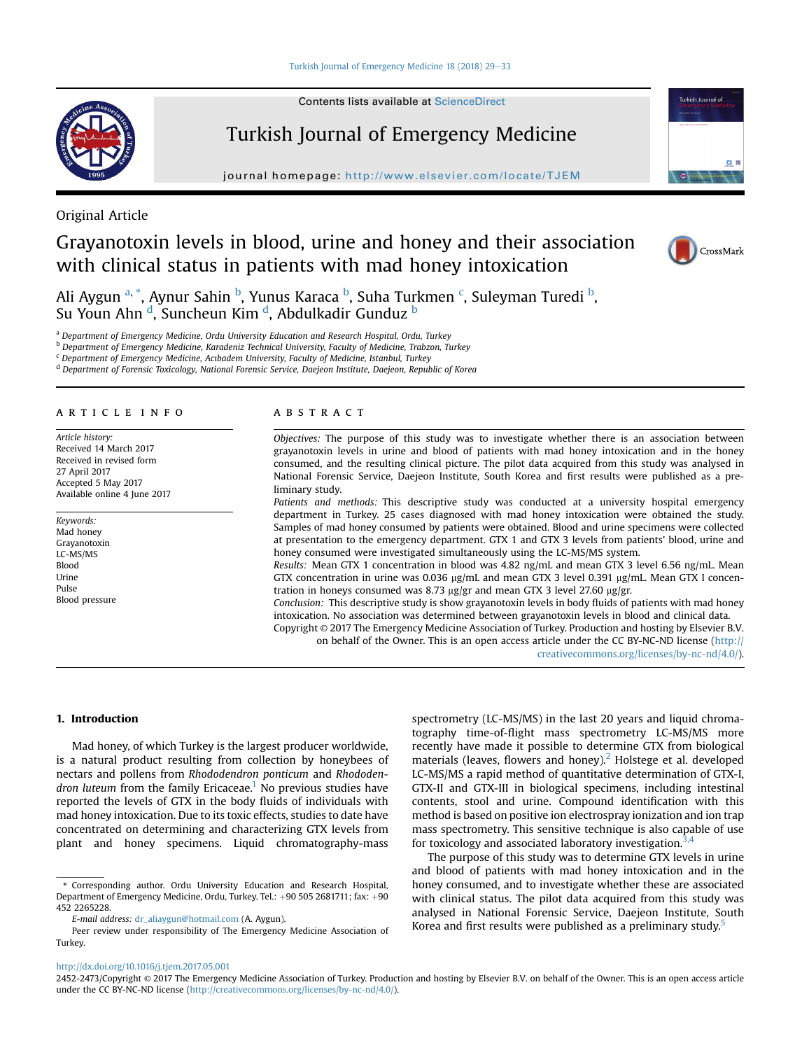#### [Turkish Journal of Emergency Medicine 18 \(2018\) 29](http://dx.doi.org/10.1016/j.tjem.2017.05.001)-[33](http://dx.doi.org/10.1016/j.tjem.2017.05.001)

Contents lists available at ScienceDirect

# Turkish Journal of Emergency Medicine

journal homepage: <http://www.elsevier.com/locate/TJEM>

Original Article

# Grayanotoxin levels in blood, urine and honey and their association with clinical status in patients with mad honey intoxication



**V** 88

Turkish Journal of

Ali Aygun <sup>a, \*</sup>, Aynur Sahin <sup>b</sup>, Yunus Karaca <sup>b</sup>, Suha Turkmen <sup>c</sup>, Suleyman Turedi <sup>b</sup>, Su Youn Ahn <sup>d</sup>, Suncheun Kim <sup>d</sup>, Abdulkadir Gunduz <sup>b</sup>

a Department of Emergency Medicine, Ordu University Education and Research Hospital, Ordu, Turkey

**b Department of Emergency Medicine, Karadeniz Technical University, Faculty of Medicine, Trabzon, Turkey** 

 $c$  Department of Emergency Medicine, Acıbadem University, Faculty of Medicine, Istanbul, Turkey

<sup>d</sup> Department of Forensic Toxicology, National Forensic Service, Daejeon Institute, Daejeon, Republic of Korea

## article info

Article history: Received 14 March 2017 Received in revised form 27 April 2017 Accepted 5 May 2017 Available online 4 June 2017

Keywords: Mad honey Grayanotoxin LC-MS/MS Blood Urine Pulse Blood pressure

### **ABSTRACT**

Objectives: The purpose of this study was to investigate whether there is an association between grayanotoxin levels in urine and blood of patients with mad honey intoxication and in the honey consumed, and the resulting clinical picture. The pilot data acquired from this study was analysed in National Forensic Service, Daejeon Institute, South Korea and first results were published as a preliminary study.

Patients and methods: This descriptive study was conducted at a university hospital emergency department in Turkey. 25 cases diagnosed with mad honey intoxication were obtained the study. Samples of mad honey consumed by patients were obtained. Blood and urine specimens were collected at presentation to the emergency department. GTX 1 and GTX 3 levels from patients' blood, urine and honey consumed were investigated simultaneously using the LC-MS/MS system.

Results: Mean GTX 1 concentration in blood was 4.82 ng/mL and mean GTX 3 level 6.56 ng/mL. Mean GTX concentration in urine was 0.036  $\mu$ g/mL and mean GTX 3 level 0.391  $\mu$ g/mL. Mean GTX I concentration in honeys consumed was 8.73  $\mu$ g/gr and mean GTX 3 level 27.60  $\mu$ g/gr.

Conclusion: This descriptive study is show grayanotoxin levels in body fluids of patients with mad honey intoxication. No association was determined between grayanotoxin levels in blood and clinical data.

Copyright © 2017 The Emergency Medicine Association of Turkey. Production and hosting by Elsevier B.V. on behalf of the Owner. This is an open access article under the CC BY-NC-ND license [\(http://](http://creativecommons.org/licenses/by-nc-nd/4.0/) [creativecommons.org/licenses/by-nc-nd/4.0/](http://creativecommons.org/licenses/by-nc-nd/4.0/)).

1. Introduction

Mad honey, of which Turkey is the largest producer worldwide, is a natural product resulting from collection by honeybees of nectars and pollens from Rhododendron ponticum and Rhododendron luteum from the family Ericaceae.<sup>1</sup> No previous studies have reported the levels of GTX in the body fluids of individuals with mad honey intoxication. Due to its toxic effects, studies to date have concentrated on determining and characterizing GTX levels from plant and honey specimens. Liquid chromatography-mass

spectrometry (LC-MS/MS) in the last 20 years and liquid chromatography time-of-flight mass spectrometry LC-MS/MS more recently have made it possible to determine GTX from biological materials (leaves, flowers and honey).<sup>[2](#page-3-0)</sup> Holstege et al. developed LC-MS/MS a rapid method of quantitative determination of GTX-I, GTX-II and GTX-III in biological specimens, including intestinal contents, stool and urine. Compound identification with this method is based on positive ion electrospray ionization and ion trap mass spectrometry. This sensitive technique is also capable of use for toxicology and associated laboratory investigation. $3,4$ 

The purpose of this study was to determine GTX levels in urine and blood of patients with mad honey intoxication and in the honey consumed, and to investigate whether these are associated with clinical status. The pilot data acquired from this study was analysed in National Forensic Service, Daejeon Institute, South Korea and first results were published as a preliminary study. $5$ 

<http://dx.doi.org/10.1016/j.tjem.2017.05.001>

<sup>\*</sup> Corresponding author. Ordu University Education and Research Hospital, Department of Emergency Medicine, Ordu, Turkey. Tel.: +90 505 2681711; fax: +90 452 2265228.

E-mail address: [dr\\_aliaygun@hotmail.com](mailto:dr_aliaygun@hotmail.com) (A. Aygun).

Peer review under responsibility of The Emergency Medicine Association of Turkey.

<sup>2452-2473/</sup>Copyright © 2017 The Emergency Medicine Association of Turkey. Production and hosting by Elsevier B.V. on behalf of the Owner. This is an open access article under the CC BY-NC-ND license ([http://creativecommons.org/licenses/by-nc-nd/4.0/\)](http://creativecommons.org/licenses/by-nc-nd/4.0/).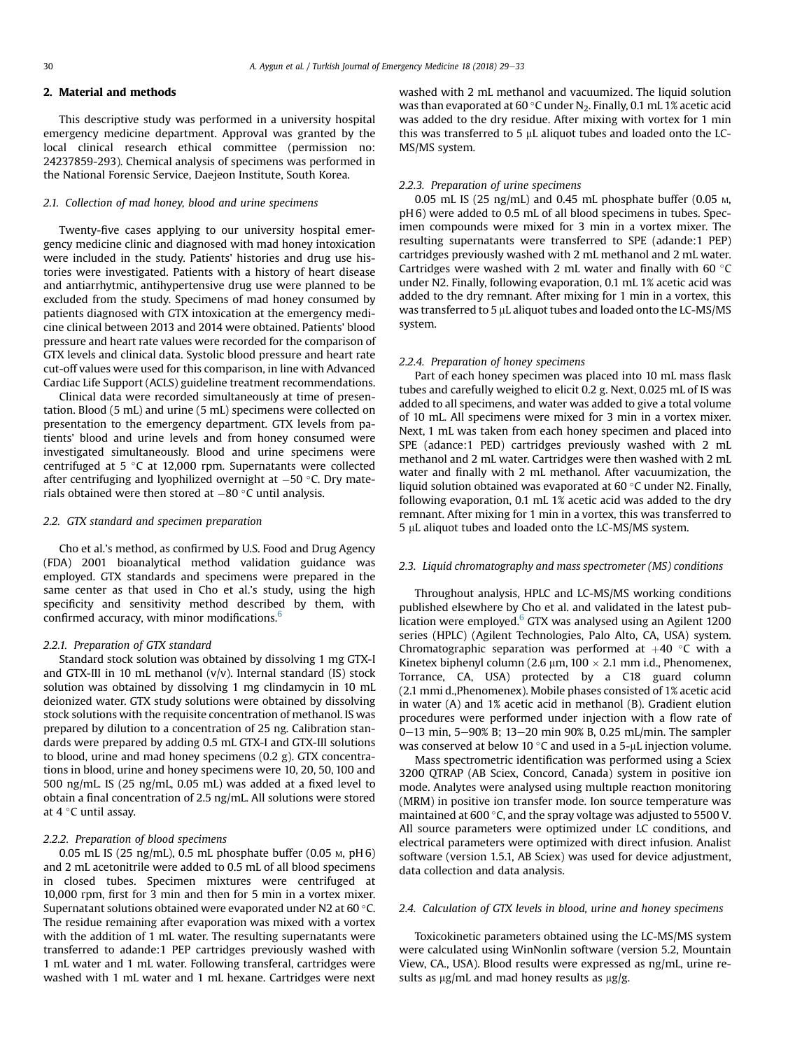## 2. Material and methods

This descriptive study was performed in a university hospital emergency medicine department. Approval was granted by the local clinical research ethical committee (permission no: 24237859-293). Chemical analysis of specimens was performed in the National Forensic Service, Daejeon Institute, South Korea.

### 2.1. Collection of mad honey, blood and urine specimens

Twenty-five cases applying to our university hospital emergency medicine clinic and diagnosed with mad honey intoxication were included in the study. Patients' histories and drug use histories were investigated. Patients with a history of heart disease and antiarrhytmic, antihypertensive drug use were planned to be excluded from the study. Specimens of mad honey consumed by patients diagnosed with GTX intoxication at the emergency medicine clinical between 2013 and 2014 were obtained. Patients' blood pressure and heart rate values were recorded for the comparison of GTX levels and clinical data. Systolic blood pressure and heart rate cut-off values were used for this comparison, in line with Advanced Cardiac Life Support (ACLS) guideline treatment recommendations.

Clinical data were recorded simultaneously at time of presentation. Blood (5 mL) and urine (5 mL) specimens were collected on presentation to the emergency department. GTX levels from patients' blood and urine levels and from honey consumed were investigated simultaneously. Blood and urine specimens were centrifuged at 5 °C at 12,000 rpm. Supernatants were collected after centrifuging and lyophilized overnight at  $-50$  °C. Dry materials obtained were then stored at  $-80$  °C until analysis.

## 2.2. GTX standard and specimen preparation

Cho et al.'s method, as confirmed by U.S. Food and Drug Agency (FDA) 2001 bioanalytical method validation guidance was employed. GTX standards and specimens were prepared in the same center as that used in Cho et al.'s study, using the high specificity and sensitivity method described by them, with confirmed accuracy, with minor modifications.<sup>[6](#page-3-0)</sup>

### 2.2.1. Preparation of GTX standard

Standard stock solution was obtained by dissolving 1 mg GTX-I and GTX-III in 10 mL methanol  $(v/v)$ . Internal standard (IS) stock solution was obtained by dissolving 1 mg clindamycin in 10 mL deionized water. GTX study solutions were obtained by dissolving stock solutions with the requisite concentration of methanol. IS was prepared by dilution to a concentration of 25 ng. Calibration standards were prepared by adding 0.5 mL GTX-I and GTX-III solutions to blood, urine and mad honey specimens (0.2 g). GTX concentrations in blood, urine and honey specimens were 10, 20, 50, 100 and 500 ng/mL. IS (25 ng/mL, 0.05 mL) was added at a fixed level to obtain a final concentration of 2.5 ng/mL. All solutions were stored at 4 °C until assay.

# 2.2.2. Preparation of blood specimens

0.05 mL IS (25 ng/mL), 0.5 mL phosphate buffer (0.05 M, pH 6) and 2 mL acetonitrile were added to 0.5 mL of all blood specimens in closed tubes. Specimen mixtures were centrifuged at 10,000 rpm, first for 3 min and then for 5 min in a vortex mixer. Supernatant solutions obtained were evaporated under N2 at 60 °C. The residue remaining after evaporation was mixed with a vortex with the addition of 1 mL water. The resulting supernatants were transferred to adande:1 PEP cartridges previously washed with 1 mL water and 1 mL water. Following transferal, cartridges were washed with 1 mL water and 1 mL hexane. Cartridges were next washed with 2 mL methanol and vacuumized. The liquid solution was than evaporated at 60 °C under N $_2$ . Finally, 0.1 mL 1% acetic acid was added to the dry residue. After mixing with vortex for 1 min this was transferred to 5  $\mu$ L aliquot tubes and loaded onto the LC-MS/MS system.

#### 2.2.3. Preparation of urine specimens

0.05 mL IS (25 ng/mL) and 0.45 mL phosphate buffer (0.05  $M$ , pH 6) were added to 0.5 mL of all blood specimens in tubes. Specimen compounds were mixed for 3 min in a vortex mixer. The resulting supernatants were transferred to SPE (adande:1 PEP) cartridges previously washed with 2 mL methanol and 2 mL water. Cartridges were washed with 2 mL water and finally with 60 $\degree$ C under N2. Finally, following evaporation, 0.1 mL 1% acetic acid was added to the dry remnant. After mixing for 1 min in a vortex, this was transferred to 5  $\mu$ L aliquot tubes and loaded onto the LC-MS/MS system.

### 2.2.4. Preparation of honey specimens

Part of each honey specimen was placed into 10 mL mass flask tubes and carefully weighed to elicit 0.2 g. Next, 0.025 mL of IS was added to all specimens, and water was added to give a total volume of 10 mL. All specimens were mixed for 3 min in a vortex mixer. Next, 1 mL was taken from each honey specimen and placed into SPE (adance:1 PED) cartridges previously washed with 2 mL methanol and 2 mL water. Cartridges were then washed with 2 mL water and finally with 2 mL methanol. After vacuumization, the liquid solution obtained was evaporated at 60  $\degree$ C under N2. Finally, following evaporation, 0.1 mL 1% acetic acid was added to the dry remnant. After mixing for 1 min in a vortex, this was transferred to 5 µL aliquot tubes and loaded onto the LC-MS/MS system.

## 2.3. Liquid chromatography and mass spectrometer (MS) conditions

Throughout analysis, HPLC and LC-MS/MS working conditions published elsewhere by Cho et al. and validated in the latest pub-lication were employed.<sup>[6](#page-3-0)</sup> GTX was analysed using an Agilent 1200 series (HPLC) (Agilent Technologies, Palo Alto, CA, USA) system. Chromatographic separation was performed at  $+40$  °C with a Kinetex biphenyl column (2.6  $\mu$ m, 100  $\times$  2.1 mm i.d., Phenomenex, Torrance, CA, USA) protected by a C18 guard column (2.1 mmi d.,Phenomenex). Mobile phases consisted of 1% acetic acid in water (A) and 1% acetic acid in methanol (B). Gradient elution procedures were performed under injection with a flow rate of 0 $-13$  min, 5 $-90\%$  B; 13 $-20$  min 90% B, 0.25 mL/min. The sampler was conserved at below 10  $\degree$ C and used in a 5-µL injection volume.

Mass spectrometric identification was performed using a Sciex 3200 QTRAP (AB Sciex, Concord, Canada) system in positive ion mode. Analytes were analysed using multıple reactıon monitoring (MRM) in positive ion transfer mode. Ion source temperature was maintained at 600  $^{\circ}$ C, and the spray voltage was adjusted to 5500 V. All source parameters were optimized under LC conditions, and electrical parameters were optimized with direct infusion. Analist software (version 1.5.1, AB Sciex) was used for device adjustment, data collection and data analysis.

### 2.4. Calculation of GTX levels in blood, urine and honey specimens

Toxicokinetic parameters obtained using the LC-MS/MS system were calculated using WinNonlin software (version 5.2, Mountain View, CA., USA). Blood results were expressed as ng/mL, urine results as  $\mu$ g/mL and mad honey results as  $\mu$ g/g.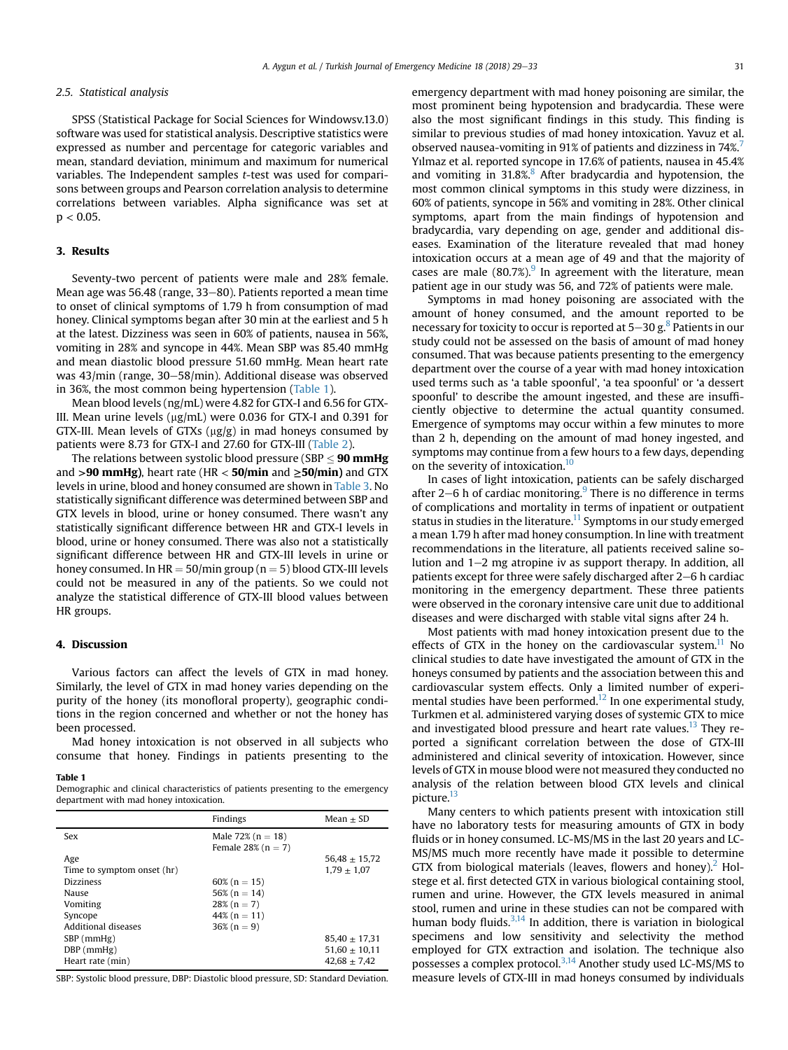#### 2.5. Statistical analysis

SPSS (Statistical Package for Social Sciences for Windowsv.13.0) software was used for statistical analysis. Descriptive statistics were expressed as number and percentage for categoric variables and mean, standard deviation, minimum and maximum for numerical variables. The Independent samples t-test was used for comparisons between groups and Pearson correlation analysis to determine correlations between variables. Alpha significance was set at  $p < 0.05$ .

## 3. Results

Seventy-two percent of patients were male and 28% female. Mean age was  $56.48$  (range,  $33-80$ ). Patients reported a mean time to onset of clinical symptoms of 1.79 h from consumption of mad honey. Clinical symptoms began after 30 min at the earliest and 5 h at the latest. Dizziness was seen in 60% of patients, nausea in 56%, vomiting in 28% and syncope in 44%. Mean SBP was 85.40 mmHg and mean diastolic blood pressure 51.60 mmHg. Mean heart rate was  $43/\text{min}$  (range,  $30-58/\text{min}$ ). Additional disease was observed in 36%, the most common being hypertension (Table 1).

Mean blood levels (ng/mL) were 4.82 for GTX-I and 6.56 for GTX-III. Mean urine levels ( $\mu$ g/mL) were 0.036 for GTX-I and 0.391 for GTX-III. Mean levels of GTXs  $(\mu g/g)$  in mad honeys consumed by patients were 8.73 for GTX-I and 27.60 for GTX-III [\(Table 2](#page-3-0)).

The relations between systolic blood pressure (SBP  $<$  90 mmHg and >90 mmHg), heart rate (HR  $<$  50/min and  $\geq$ 50/min) and GTX levels in urine, blood and honey consumed are shown in [Table 3](#page-3-0). No statistically significant difference was determined between SBP and GTX levels in blood, urine or honey consumed. There wasn't any statistically significant difference between HR and GTX-I levels in blood, urine or honey consumed. There was also not a statistically significant difference between HR and GTX-III levels in urine or honey consumed. In  $HR = 50/min$  group ( $n = 5$ ) blood GTX-III levels could not be measured in any of the patients. So we could not analyze the statistical difference of GTX-III blood values between HR groups.

## 4. Discussion

Various factors can affect the levels of GTX in mad honey. Similarly, the level of GTX in mad honey varies depending on the purity of the honey (its monofloral property), geographic conditions in the region concerned and whether or not the honey has been processed.

Mad honey intoxication is not observed in all subjects who consume that honey. Findings in patients presenting to the

#### Table 1

Demographic and clinical characteristics of patients presenting to the emergency department with mad honey intoxication.

|                            | Findings               | $Mean + SD$       |
|----------------------------|------------------------|-------------------|
| Sex                        | Male 72% ( $n = 18$ )  |                   |
|                            | Female 28% ( $n = 7$ ) |                   |
| Age                        |                        | $56,48 \pm 15,72$ |
| Time to symptom onset (hr) |                        | $1.79 + 1.07$     |
| <b>Dizziness</b>           | $60\%$ (n = 15)        |                   |
| Nause                      | $56\%$ (n = 14)        |                   |
| Vomiting                   | $28\%$ (n = 7)         |                   |
| Syncope                    | $44\%$ (n = 11)        |                   |
| Additional diseases        | $36\%$ (n = 9)         |                   |
| $SBP$ (mmHg)               |                        | $85.40 + 17.31$   |
| $DBP$ (mmHg)               |                        | $51.60 + 10.11$   |
| Heart rate (min)           |                        | $42.68 + 7.42$    |

SBP: Systolic blood pressure, DBP: Diastolic blood pressure, SD: Standard Deviation.

emergency department with mad honey poisoning are similar, the most prominent being hypotension and bradycardia. These were also the most significant findings in this study. This finding is similar to previous studies of mad honey intoxication. Yavuz et al. observed nausea-vomiting in 91% of patients and dizziness in 74%.[7](#page-3-0) Yılmaz et al. reported syncope in 17.6% of patients, nausea in 45.4% and vomiting in  $31.8\%$  $31.8\%$  $31.8\%$ <sup>8</sup> After bradycardia and hypotension, the most common clinical symptoms in this study were dizziness, in 60% of patients, syncope in 56% and vomiting in 28%. Other clinical symptoms, apart from the main findings of hypotension and bradycardia, vary depending on age, gender and additional diseases. Examination of the literature revealed that mad honey intoxication occurs at a mean age of 49 and that the majority of cases are male  $(80.7\%)$ <sup>9</sup> In agreement with the literature, mean patient age in our study was 56, and 72% of patients were male.

Symptoms in mad honey poisoning are associated with the amount of honey consumed, and the amount reported to be necessary for toxicity to occur is reported at  $5-30$  g.<sup>[8](#page-3-0)</sup> Patients in our study could not be assessed on the basis of amount of mad honey consumed. That was because patients presenting to the emergency department over the course of a year with mad honey intoxication used terms such as 'a table spoonful', 'a tea spoonful' or 'a dessert spoonful' to describe the amount ingested, and these are insufficiently objective to determine the actual quantity consumed. Emergence of symptoms may occur within a few minutes to more than 2 h, depending on the amount of mad honey ingested, and symptoms may continue from a few hours to a few days, depending on the severity of intoxication.<sup>[10](#page-3-0)</sup>

In cases of light intoxication, patients can be safely discharged after 2–6 h of cardiac monitoring. $9$  There is no difference in terms of complications and mortality in terms of inpatient or outpatient status in studies in the literature.<sup>[11](#page-4-0)</sup> Symptoms in our study emerged a mean 1.79 h after mad honey consumption. In line with treatment recommendations in the literature, all patients received saline solution and  $1-2$  mg atropine iv as support therapy. In addition, all patients except for three were safely discharged after  $2-6$  h cardiac monitoring in the emergency department. These three patients were observed in the coronary intensive care unit due to additional diseases and were discharged with stable vital signs after 24 h.

Most patients with mad honey intoxication present due to the effects of GTX in the honey on the cardiovascular system. $11$  No clinical studies to date have investigated the amount of GTX in the honeys consumed by patients and the association between this and cardiovascular system effects. Only a limited number of experimental studies have been performed.<sup>12</sup> In one experimental study, Turkmen et al. administered varying doses of systemic GTX to mice and investigated blood pressure and heart rate values.<sup>[13](#page-4-0)</sup> They reported a significant correlation between the dose of GTX-III administered and clinical severity of intoxication. However, since levels of GTX in mouse blood were not measured they conducted no analysis of the relation between blood GTX levels and clinical picture.<sup>13</sup>

Many centers to which patients present with intoxication still have no laboratory tests for measuring amounts of GTX in body fluids or in honey consumed. LC-MS/MS in the last 20 years and LC-MS/MS much more recently have made it possible to determine GTX from biological materials (leaves, flowers and honey).<sup>[2](#page-3-0)</sup> Holstege et al. first detected GTX in various biological containing stool, rumen and urine. However, the GTX levels measured in animal stool, rumen and urine in these studies can not be compared with human body fluids. $3,14$  In addition, there is variation in biological specimens and low sensitivity and selectivity the method employed for GTX extraction and isolation. The technique also possesses a complex protocol.[3,14](#page-3-0) Another study used LC-MS/MS to measure levels of GTX-III in mad honeys consumed by individuals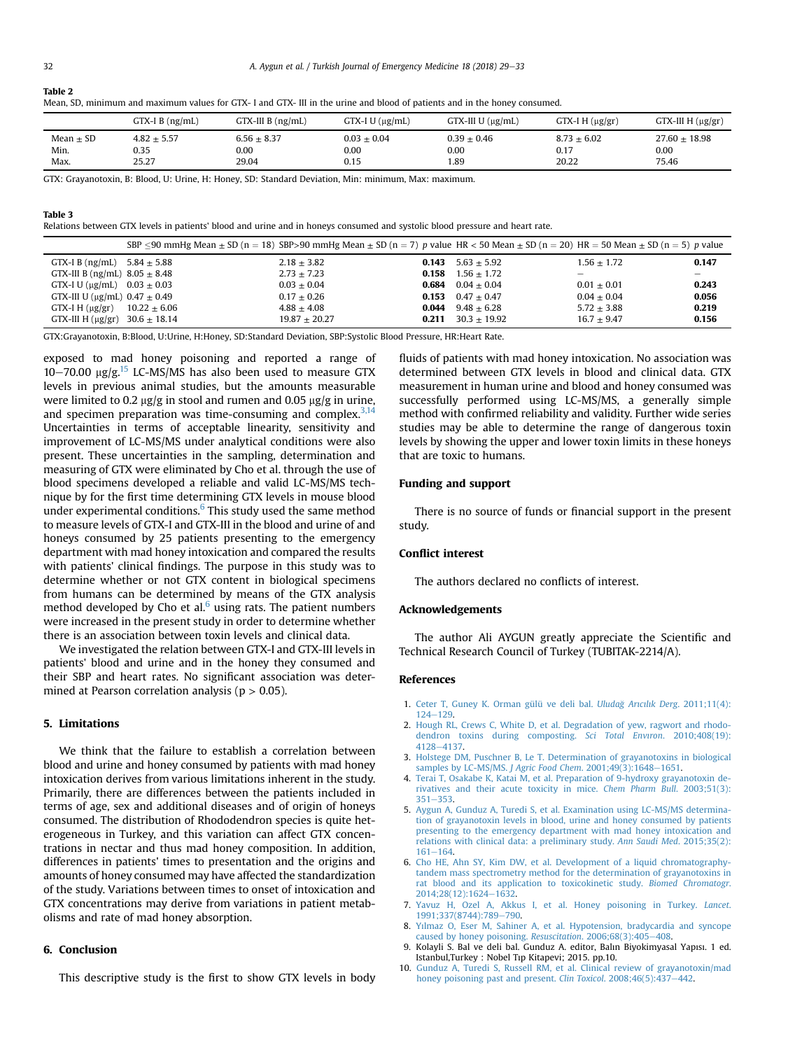<span id="page-3-0"></span>Table 2

| Mean, SD, minimum and maximum values for GTX- I and GTX- III in the urine and blood of patients and in the honey consumed. |                   |                   |                   |                            |                   |  |
|----------------------------------------------------------------------------------------------------------------------------|-------------------|-------------------|-------------------|----------------------------|-------------------|--|
|                                                                                                                            | $GTX-I B (ng/mL)$ | GTX-III B (ng/mL) | $GTX-I U (µg/mL)$ | $GTX$ -III U ( $\mu$ g/mL) | $GTX-I H (µg/gI)$ |  |
| $M_{22D}$ , CD                                                                                                             | 107.557           | 656.027           | nne, nn           | 0.20 0.46                  | $0.72$ $6.02$     |  |

|               | $GTX-I B (ng/mL)$ | GTX-III B (ng/mL) | $GTX-I U (µg/mL)$ | GTX-III U (µg/mL) | $GTX-I H (µg/gr)$ | GTX-III H (µg/gr] |
|---------------|-------------------|-------------------|-------------------|-------------------|-------------------|-------------------|
| Mean $\pm$ SD | $4.82 + 5.57$     | $6.56 + 8.37$     | $0.03 + 0.04$     | $0.39 + 0.46$     | $8.73 + 6.02$     | $27.60 + 18.98$   |
| Min.          | 0.35              | $0.00\,$          | $0.00\,$          | 0.00              | 0.17              | 0.00              |
| Max.          | 25.27             | 29.04             | 0.15              | 1.89              | 20.22             | 75.46             |

GTX: Grayanotoxin, B: Blood, U: Urine, H: Honey, SD: Standard Deviation, Min: minimum, Max: maximum.

#### Table 3

Relations between GTX levels in patients' blood and urine and in honeys consumed and systolic blood pressure and heart rate.

|                                         | SBP $\leq$ 90 mmHg Mean $\pm$ SD (n = 18) SBP>90 mmHg Mean $\pm$ SD (n = 7) p value HR < 50 Mean $\pm$ SD (n = 20) HR = 50 Mean $\pm$ SD (n = 5) p value |                 |       |                |                          |        |
|-----------------------------------------|----------------------------------------------------------------------------------------------------------------------------------------------------------|-----------------|-------|----------------|--------------------------|--------|
| GTX-I B (ng/mL) $5.84 \pm 5.88$         |                                                                                                                                                          | $2.18 + 3.82$   | 0.143 | $5.63 + 5.92$  | $1.56 + 1.72$            | 0.147  |
| GTX-III B (ng/mL) $8.05 \pm 8.48$       |                                                                                                                                                          | $2.73 + 7.23$   | 0.158 | $1.56 + 1.72$  | $\overline{\phantom{0}}$ | $\sim$ |
| GTX-I U ( $\mu$ g/mL) 0.03 $\pm$ 0.03   |                                                                                                                                                          | $0.03 + 0.04$   | 0.684 | $0.04 + 0.04$  | $0.01 + 0.01$            | 0.243  |
| GTX-III U ( $\mu$ g/mL) 0.47 $\pm$ 0.49 |                                                                                                                                                          | $0.17 + 0.26$   | 0.153 | $0.47 + 0.47$  | $0.04 + 0.04$            | 0.056  |
| $GTX-I H (\mu g/gr)$                    | $10.22 + 6.06$                                                                                                                                           | $4.88 + 4.08$   | 0.044 | $9.48 + 6.28$  | $5.72 + 3.88$            | 0.219  |
| $GTX$ -III H $(\mu g)gr$ )              | $30.6 + 18.14$                                                                                                                                           | $19.87 + 20.27$ | 0.211 | $30.3 + 19.92$ | $16.7 + 9.47$            | 0.156  |

GTX:Grayanotoxin, B:Blood, U:Urine, H:Honey, SD:Standard Deviation, SBP:Systolic Blood Pressure, HR:Heart Rate.

exposed to mad honey poisoning and reported a range of  $10-70.00$  µg/g.<sup>[15](#page-4-0)</sup> LC-MS/MS has also been used to measure GTX levels in previous animal studies, but the amounts measurable were limited to 0.2  $\mu$ g/g in stool and rumen and 0.05  $\mu$ g/g in urine, and specimen preparation was time-consuming and complex. $3,14$ Uncertainties in terms of acceptable linearity, sensitivity and improvement of LC-MS/MS under analytical conditions were also present. These uncertainties in the sampling, determination and measuring of GTX were eliminated by Cho et al. through the use of blood specimens developed a reliable and valid LC-MS/MS technique by for the first time determining GTX levels in mouse blood under experimental conditions. $6$  This study used the same method to measure levels of GTX-I and GTX-III in the blood and urine of and honeys consumed by 25 patients presenting to the emergency department with mad honey intoxication and compared the results with patients' clinical findings. The purpose in this study was to determine whether or not GTX content in biological specimens from humans can be determined by means of the GTX analysis method developed by Cho et al. $<sup>6</sup>$  using rats. The patient numbers</sup> were increased in the present study in order to determine whether there is an association between toxin levels and clinical data.

We investigated the relation between GTX-I and GTX-III levels in patients' blood and urine and in the honey they consumed and their SBP and heart rates. No significant association was determined at Pearson correlation analysis ( $p > 0.05$ ).

## 5. Limitations

We think that the failure to establish a correlation between blood and urine and honey consumed by patients with mad honey intoxication derives from various limitations inherent in the study. Primarily, there are differences between the patients included in terms of age, sex and additional diseases and of origin of honeys consumed. The distribution of Rhododendron species is quite heterogeneous in Turkey, and this variation can affect GTX concentrations in nectar and thus mad honey composition. In addition, differences in patients' times to presentation and the origins and amounts of honey consumed may have affected the standardization of the study. Variations between times to onset of intoxication and GTX concentrations may derive from variations in patient metabolisms and rate of mad honey absorption.

## 6. Conclusion

This descriptive study is the first to show GTX levels in body

fluids of patients with mad honey intoxication. No association was determined between GTX levels in blood and clinical data. GTX measurement in human urine and blood and honey consumed was successfully performed using LC-MS/MS, a generally simple method with confirmed reliability and validity. Further wide series studies may be able to determine the range of dangerous toxin levels by showing the upper and lower toxin limits in these honeys that are toxic to humans.

## Funding and support

There is no source of funds or financial support in the present study.

## Conflict interest

The authors declared no conflicts of interest.

## Acknowledgements

The author Ali AYGUN greatly appreciate the Scientific and Technical Research Council of Turkey (TUBITAK-2214/A).

## References

- 1. [Ceter T, Guney K. Orman gülü ve deli bal.](http://refhub.elsevier.com/S2452-2473(17)30058-4/sref1) Uludağ Arı[c](http://refhub.elsevier.com/S2452-2473(17)30058-4/sref1)ı[l](http://refhub.elsevier.com/S2452-2473(17)30058-4/sref1)ık Derg[. 2011;11\(4\):](http://refhub.elsevier.com/S2452-2473(17)30058-4/sref1)  $124 - 129$  $124 - 129$  $124 - 129$ .
- 2. [Hough RL, Crews C, White D, et al. Degradation of yew, ragwort and rhodo](http://refhub.elsevier.com/S2452-2473(17)30058-4/sref2)[dendron toxins during composting.](http://refhub.elsevier.com/S2452-2473(17)30058-4/sref2) Sci Total Envıron[. 2010;408\(19\):](http://refhub.elsevier.com/S2452-2473(17)30058-4/sref2) [4128](http://refhub.elsevier.com/S2452-2473(17)30058-4/sref2)-4137
- 3. [Holstege DM, Puschner B, Le T. Determination of grayanotoxins in biological](http://refhub.elsevier.com/S2452-2473(17)30058-4/sref3) [samples by LC-MS/MS.](http://refhub.elsevier.com/S2452-2473(17)30058-4/sref3) *J Agric Food Chem.* 2001;49(3):1648-[1651.](http://refhub.elsevier.com/S2452-2473(17)30058-4/sref3)
- 4. [Terai T, Osakabe K, Katai M, et al. Preparation of 9-hydroxy grayanotoxin de](http://refhub.elsevier.com/S2452-2473(17)30058-4/sref4)[rivatives and their acute toxicity in mice.](http://refhub.elsevier.com/S2452-2473(17)30058-4/sref4) Chem Pharm Bull. 2003;51(3):  $351 - 353$  $351 - 353$  $351 - 353$ .
- 5. [Aygun A, Gunduz A, Turedi S, et al. Examination using LC-MS/MS determina](http://refhub.elsevier.com/S2452-2473(17)30058-4/sref5)[tion of grayanotoxin levels in blood, urine and honey consumed by patients](http://refhub.elsevier.com/S2452-2473(17)30058-4/sref5) [presenting to the emergency department with mad honey intoxication and](http://refhub.elsevier.com/S2452-2473(17)30058-4/sref5) [relations with clinical data: a preliminary study.](http://refhub.elsevier.com/S2452-2473(17)30058-4/sref5) Ann Saudi Med. 2015;35(2):  $161 - 164.$  $161 - 164.$  $161 - 164.$  $161 - 164.$
- 6. [Cho HE, Ahn SY, Kim DW, et al. Development of a liquid chromatography](http://refhub.elsevier.com/S2452-2473(17)30058-4/sref6)[tandem mass spectrometry method for the determination of grayanotoxins in](http://refhub.elsevier.com/S2452-2473(17)30058-4/sref6) [rat blood and its application to toxicokinetic study.](http://refhub.elsevier.com/S2452-2473(17)30058-4/sref6) Biomed Chromatogr. 2014:28(12):1624-[1632.](http://refhub.elsevier.com/S2452-2473(17)30058-4/sref6)
- 7. [Yavuz H, Ozel A, Akkus I, et al. Honey poisoning in Turkey.](http://refhub.elsevier.com/S2452-2473(17)30058-4/sref7) Lancet. [1991;337\(8744\):789](http://refhub.elsevier.com/S2452-2473(17)30058-4/sref7)-[790](http://refhub.elsevier.com/S2452-2473(17)30058-4/sref7).
- 8. [Y](http://refhub.elsevier.com/S2452-2473(17)30058-4/sref8)ı[lmaz O, Eser M, Sahiner A, et al. Hypotension, bradycardia and syncope](http://refhub.elsevier.com/S2452-2473(17)30058-4/sref8) [caused by honey poisoning.](http://refhub.elsevier.com/S2452-2473(17)30058-4/sref8) Resuscitation. 2006;68(3):405-[408](http://refhub.elsevier.com/S2452-2473(17)30058-4/sref8).
- 9. Kolayli S. Bal ve deli bal. Gunduz A. editor, Balın Biyokimyasal Yapısı. 1 ed. Istanbul,Turkey : Nobel Tıp Kitapevi; 2015. pp.10.
- 10. [Gunduz A, Turedi S, Russell RM, et al. Clinical review of grayanotoxin/mad](http://refhub.elsevier.com/S2452-2473(17)30058-4/sref10) [honey poisoning past and present.](http://refhub.elsevier.com/S2452-2473(17)30058-4/sref10) Clin Toxicol. 2008;46(5):437-[442](http://refhub.elsevier.com/S2452-2473(17)30058-4/sref10).